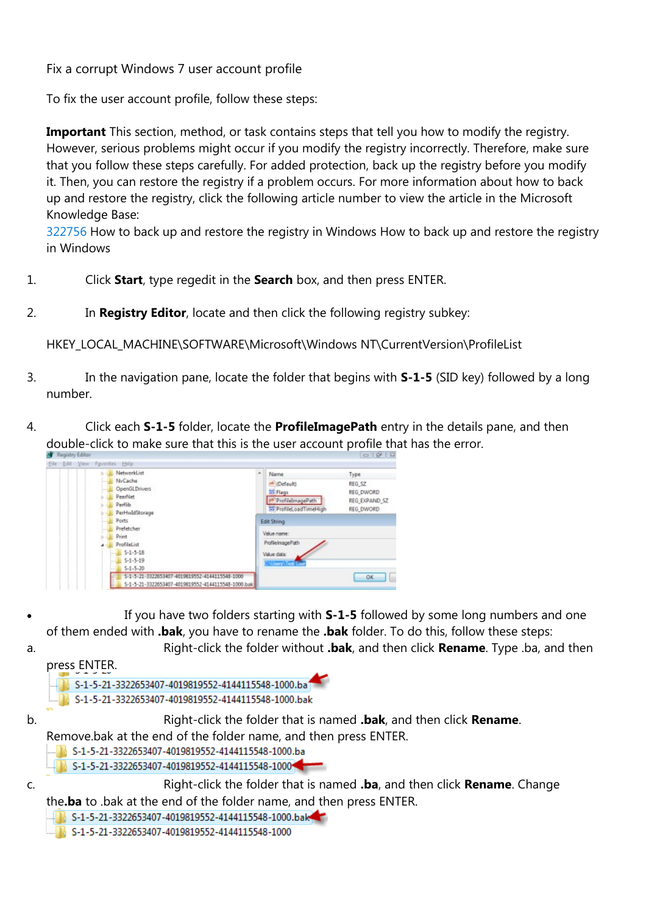Fix a corrupt Windows 7 user account profile

To fix the user account profile, follow these steps:

**Important** This section, method, or task contains steps that tell you how to modify the registry. However, serious problems might occur if you modify the registry incorrectly. Therefore, make sure that you follow these steps carefully. For added protection, back up the registry before you modify it. Then, you can restore the registry if a problem occurs. For more information about how to back up and restore the registry, click the following article number to view the article in the Microsoft Knowledge Base:

[322756](https://support.microsoft.com/en-gb/kb/322756) How to back up and restore the registry in Windows How to back up and restore the registry in Windows

- 1. Click **Start**, type regedit in the **Search** box, and then press ENTER.
- 2. In **Registry Editor**, locate and then click the following registry subkey:

HKEY\_LOCAL\_MACHINE\SOFTWARE\Microsoft\Windows NT\CurrentVersion\ProfileList

- 3. In the navigation pane, locate the folder that begins with **S-1-5** (SID key) followed by a long number.
- 4. Click each **S-1-5** folder, locate the **ProfileImagePath** entry in the details pane, and then double-click to make sure that this is the user account profile that has the error.



- If you have two folders starting with **S-1-5** followed by some long numbers and one of them ended with **.bak**, you have to rename the **.bak** folder. To do this, follow these steps:
- a. Right-click the folder without **.bak**, and then click **Rename**. Type .ba, and then press ENTER.



- S-1-5-21-3322653407-4019819552-4144115548-1000.ba
- S-1-5-21-3322653407-4019819552-4144115548-1000

c. Right-click the folder that is named **.ba**, and then click **Rename**. Change the**.ba** to .bak at the end of the folder name, and then press ENTER.

- S-1-5-21-3322653407-4019819552-4144115548-1000.bak
- S-1-5-21-3322653407-4019819552-4144115548-1000